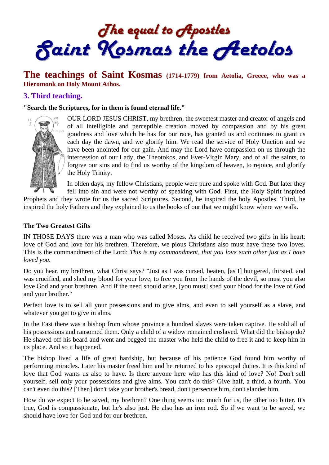The equal to Apostles<br>Saint Kosmas the Aetolos

# **The teachings of Saint Kosmas (1714-1779) from Aetolia, Greece, who was a Hieromonk on Holy Mount Athos.**

### **3. Third teaching.**

**"Search the Scriptures, for in them is found eternal life."** 



OUR LORD JESUS CHRIST, my brethren, the sweetest master and creator of angels and of all intelligible and perceptible creation moved by compassion and by his great goodness and love which he has for our race, has granted us and continues to grant us each day the dawn, and we glorify him. We read the service of Holy Unction and we have been anointed for our gain. And may the Lord have compassion on us through the intercession of our Lady, the Theotokos, and Ever-Virgin Mary, and of all the saints, to forgive our sins and to find us worthy of the kingdom of heaven, to rejoice, and glorify the Holy Trinity.

In olden days, my fellow Christians, people were pure and spoke with God. But later they fell into sin and were not worthy of speaking with God. First, the Holy Spirit inspired

Prophets and they wrote for us the sacred Scriptures. Second, he inspired the holy Apostles. Third, he inspired the holy Fathers and they explained to us the books of our that we might know where we walk.

#### **The Two Greatest Gifts**

IN THOSE DAYS there was a man who was called Moses. As child he received two gifts in his heart: love of God and love for his brethren. Therefore, we pious Christians also must have these two loves. This is the commandment of the Lord: *This is my commandment, that you love each other just as I have loved you.*

Do you hear, my brethren, what Christ says? "Just as I was cursed, beaten, [as I] hungered, thirsted, and was crucified, and shed my blood for your love, to free you from the hands of the devil, so must you also love God and your brethren. And if the need should arise, [you must] shed your blood for the love of God and your brother."

Perfect love is to sell all your possessions and to give alms, and even to sell yourself as a slave, and whatever you get to give in alms.

In the East there was a bishop from whose province a hundred slaves were taken captive. He sold all of his possessions and ransomed them. Only a child of a widow remained enslaved. What did the bishop do? He shaved off his beard and went and begged the master who held the child to free it and to keep him in its place. And so it happened.

The bishop lived a life of great hardship, but because of his patience God found him worthy of performing miracles. Later his master freed him and he returned to his episcopal duties. It is this kind of love that God wants us also to have. Is there anyone here who has this kind of love? No! Don't sell yourself, sell only your possessions and give alms. You can't do this? Give half, a third, a fourth. You can't even do this? [Then] don't take your brother's bread, don't persecute him, don't slander him.

How do we expect to be saved, my brethren? One thing seems too much for us, the other too bitter. It's true, God is compassionate, but he's also just. He also has an iron rod. So if we want to be saved, we should have love for God and for our brethren.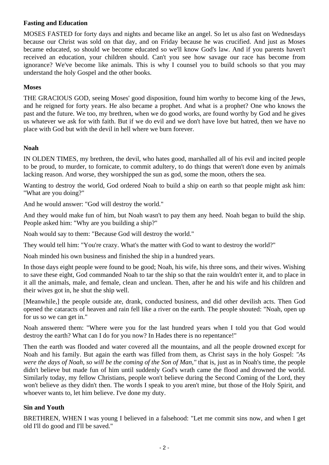# **Fasting and Education**

MOSES FASTED for forty days and nights and became like an angel. So let us also fast on Wednesdays because our Christ was sold on that day, and on Friday because he was crucified. And just as Moses became educated, so should we become educated so we'll know God's law. And if you parents haven't received an education, your children should. Can't you see how savage our race has become from ignorance? We've become like animals. This is why I counsel you to build schools so that you may understand the holy Gospel and the other books.

# **Moses**

THE GRACIOUS GOD, seeing Moses' good disposition, found him worthy to become king of the Jews, and he reigned for forty years. He also became a prophet. And what is a prophet? One who knows the past and the future. We too, my brethren, when we do good works, are found worthy by God and he gives us whatever we ask for with faith. But if we do evil and we don't have love but hatred, then we have no place with God but with the devil in hell where we burn forever.

# **Noah**

IN OLDEN TIMES, my brethren, the devil, who hates good, marshalled all of his evil and incited people to be proud, to murder, to fornicate, to commit adultery, to do things that weren't done even by animals lacking reason. And worse, they worshipped the sun as god, some the moon, others the sea.

Wanting to destroy the world, God ordered Noah to build a ship on earth so that people might ask him: "What are you doing?"

And he would answer: "God will destroy the world."

And they would make fun of him, but Noah wasn't to pay them any heed. Noah began to build the ship. People asked him: "Why are you building a ship?"

Noah would say to them: "Because God will destroy the world."

They would tell him: "You're crazy. What's the matter with God to want to destroy the world?"

Noah minded his own business and finished the ship in a hundred years.

In those days eight people were found to be good; Noah, his wife, his three sons, and their wives. Wishing to save these eight, God commanded Noah to tar the ship so that the rain wouldn't enter it, and to place in it all the animals, male, and female, clean and unclean. Then, after he and his wife and his children and their wives got in, he shut the ship well.

[Meanwhile,] the people outside ate, drank, conducted business, and did other devilish acts. Then God opened the cataracts of heaven and rain fell like a river on the earth. The people shouted: "Noah, open up for us so we can get in."

Noah answered them: "Where were you for the last hundred years when I told you that God would destroy the earth? What can I do for you now? In Hades there is no repentance!"

Then the earth was flooded and water covered all the mountains, and all the people drowned except for Noah and his family. But again the earth was filled from them, as Christ says in the holy Gospel: *"As were the days of Noah, so will be the coming of the Son of Man,"* that is, just as in Noah's time, the people didn't believe but made fun of him until suddenly God's wrath came the flood and drowned the world. Similarly today, my fellow Christians, people won't believe during the Second Coming of the Lord, they won't believe as they didn't then. The words I speak to you aren't mine, but those of the Holy Spirit, and whoever wants to, let him believe. I've done my duty.

### **Sin and Youth**

BRETHREN, WHEN I was young I believed in a falsehood: "Let me commit sins now, and when I get old I'll do good and I'll be saved."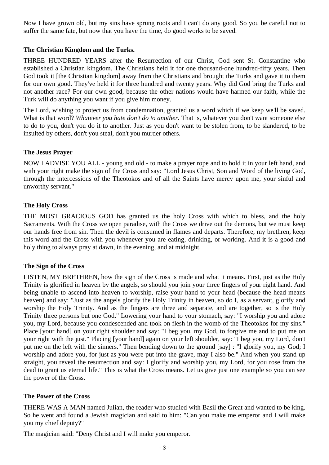Now I have grown old, but my sins have sprung roots and I can't do any good. So you be careful not to suffer the same fate, but now that you have the time, do good works to be saved.

# **The Christian Kingdom and the Turks.**

THREE HUNDRED YEARS after the Resurrection of our Christ, God sent St. Constantine who established a Christian kingdom. The Christians held it for one thousand-one hundred-fifty years. Then God took it [the Christian kingdom] away from the Christians and brought the Turks and gave it to them for our own good. They've held it for three hundred and twenty years. Why did God bring the Turks and not another race? For our own good, because the other nations would have harmed our faith, while the Turk will do anything you want if you give him money.

The Lord, wishing to protect us from condemnation, granted us a word which if we keep we'll be saved. What is that word? *Whatever you hate don't do to another.* That is, whatever you don't want someone else to do to you, don't you do it to another. Just as you don't want to be stolen from, to be slandered, to be insulted by others, don't you steal, don't you murder others.

### **The Jesus Prayer**

NOW I ADVISE YOU ALL - young and old - to make a prayer rope and to hold it in your left hand, and with your right make the sign of the Cross and say: "Lord Jesus Christ, Son and Word of the living God, through the intercessions of the Theotokos and of all the Saints have mercy upon me, your sinful and unworthy servant."

# **The Holy Cross**

THE MOST GRACIOUS GOD has granted us the holy Cross with which to bless, and the holy Sacraments. With the Cross we open paradise, with the Cross we drive out the demons, but we must keep our hands free from sin. Then the devil is consumed in flames and departs. Therefore, my brethren, keep this word and the Cross with you whenever you are eating, drinking, or working. And it is a good and holy thing to always pray at dawn, in the evening, and at midnight.

### **The Sign of the Cross**

LISTEN, MY BRETHREN, how the sign of the Cross is made and what it means. First, just as the Holy Trinity is glorified in heaven by the angels, so should you join your three fingers of your right hand. And being unable to ascend into heaven to worship, raise your hand to your head (because the head means heaven) and say: "Just as the angels glorify the Holy Trinity in heaven, so do I, as a servant, glorify and worship the Holy Trinity. And as the fingers are three and separate, and are together, so is the Holy Trinity three persons but one God." Lowering your hand to your stomach, say: "I worship you and adore you, my Lord, because you condescended and took on flesh in the womb of the Theotokos for my sins." Place [your hand] on your right shoulder and say: "I beg you, my God, to forgive me and to put me on your right with the just." Placing [your hand] again on your left shoulder, say: "I beg you, my Lord, don't put me on the left with the sinners." Then bending down to the ground [say] : "I glorify you, my God; I worship and adore you, for just as you were put into the grave, may I also be." And when you stand up straight, you reveal the resurrection and say: I glorify and worship you, my Lord, for you rose from the dead to grant us eternal life." This is what the Cross means. Let us give just one example so you can see the power of the Cross.

### **The Power of the Cross**

THERE WAS A MAN named Julian, the reader who studied with Basil the Great and wanted to be king. So he went and found a Jewish magician and said to him: "Can you make me emperor and I will make you my chief deputy?"

The magician said: "Deny Christ and I will make you emperor.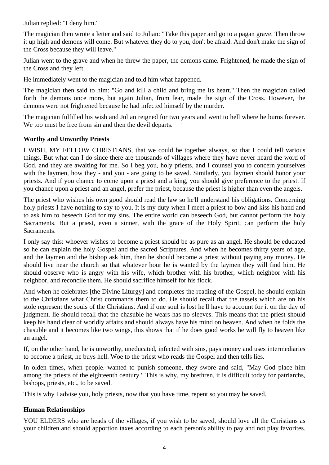Julian replied: "I deny him."

The magician then wrote a letter and said to Julian: "Take this paper and go to a pagan grave. Then throw it up high and demons will come. But whatever they do to you, don't be afraid. And don't make the sign of the Cross because they will leave."

Julian went to the grave and when he threw the paper, the demons came. Frightened, he made the sign of the Cross and they left.

He immediately went to the magician and told him what happened.

The magician then said to him: "Go and kill a child and bring me its heart." Then the magician called forth the demons once more, but again Julian, from fear, made the sign of the Cross. However, the demons were not frightened because he had infected himself by the murder.

The magician fulfilled his wish and Julian reigned for two years and went to hell where he burns forever. We too must be free from sin and then the devil departs.

#### **Worthy and Unworthy Priests**

I WISH, MY FELLOW CHRISTIANS, that we could be together always, so that I could tell various things. But what can I do since there are thousands of villages where they have never heard the word of God, and they are awaiting for me. So I beg you, holy priests, and I counsel you to concern yourselves with the laymen, how they - and you - are going to be saved. Similarly, you laymen should honor your priests. And if you chance to come upon a priest and a king, you should give preference to the priest. If you chance upon a priest and an angel, prefer the priest, because the priest is higher than even the angels.

The priest who wishes his own good should read the law so he'll understand his obligations. Concerning holy priests I have nothing to say to you. It is my duty when I meet a priest to bow and kiss his hand and to ask him to beseech God for my sins. The entire world can beseech God, but cannot perform the holy Sacraments. But a priest, even a sinner, with the grace of the Holy Spirit, can perform the holy Sacraments.

I only say this: whoever wishes to become a priest should be as pure as an angel. He should be educated so he can explain the holy Gospel and the sacred Scriptures. And when he becomes thirty years of age, and the laymen and the bishop ask him, then he should become a priest without paying any money. He should live near the church so that whatever hour he is wanted by the laymen they will find him. He should observe who is angry with his wife, which brother with his brother, which neighbor with his neighbor, and reconcile them. He should sacrifice himself for his flock.

And when he celebrates [the Divine Liturgy] and completes the reading of the Gospel, he should explain to the Christians what Christ commands them to do. He should recall that the tassels which are on his stole represent the souls of the Christians. And if one soul is lost he'll have to account for it on the day of judgment. lie should recall that the chasuble he wears has no sleeves. This means that the priest should keep his hand clear of worldly affairs and should always have his mind on heaven. And when he folds the chasuble and it becomes like two wings, this shows that if he does good works he will fly to heaven like an angel.

If, on the other hand, he is unworthy, uneducated, infected with sins, pays money and uses intermediaries to become a priest, he buys hell. Woe to the priest who reads the Gospel and then tells lies.

In olden times, when people. wanted to punish someone, they swore and said, "May God place him among the priests of the eighteenth century." This is why, my brethren, it is difficult today for patriarchs, bishops, priests, etc., to be saved.

This is why I advise you, holy priests, now that you have time, repent so you may be saved.

### **Human Relationships**

YOU ELDERS who are heads of the villages, if you wish to be saved, should love all the Christians as your children and should apportion taxes according to each person's ability to pay and not play favorites.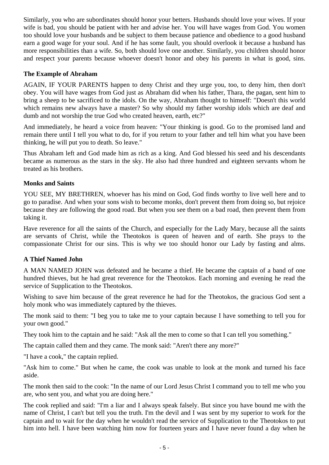Similarly, you who are subordinates should honor your betters. Husbands should love your wives. If your wife is bad, you should be patient with her and advise her. You will have wages from God. You women too should love your husbands and be subject to them because patience and obedience to a good husband earn a good wage for your soul. And if he has some fault, you should overlook it because a husband has more responsibilities than a wife. So, both should love one another. Similarly, you children should honor and respect your parents because whoever doesn't honor and obey his parents in what is good, sins.

# **The Example of Abraham**

AGAIN, IF YOUR PARENTS happen to deny Christ and they urge you, too, to deny him, then don't obey. You will have wages from God just as Abraham did when his father, Thara, the pagan, sent him to bring a sheep to be sacrificed to the idols. On the way, Abraham thought to himself: "Doesn't this world which remains new always have a master? So why should my father worship idols which are deaf and dumb and not worship the true God who created heaven, earth, etc?"

And immediately, he heard a voice from heaven: "Your thinking is good. Go to the promised land and remain there until I tell you what to do, for if you return to your father and tell him what you have been thinking, he will put you to death. So leave."

Thus Abraham left and God made him as rich as a king. And God blessed his seed and his descendants became as numerous as the stars in the sky. He also had three hundred and eighteen servants whom he treated as his brothers.

### **Monks and Saints**

YOU SEE, MY BRETHREN, whoever has his mind on God, God finds worthy to live well here and to go to paradise. And when your sons wish to become monks, don't prevent them from doing so, but rejoice because they are following the good road. But when you see them on a bad road, then prevent them from taking it.

Have reverence for all the saints of the Church, and especially for the Lady Mary, because all the saints are servants of Christ, while the Theotokos is queen of heaven and of earth. She prays to the compassionate Christ for our sins. This is why we too should honor our Lady by fasting and alms.

### **A Thief Named John**

A MAN NAMED JOHN was defeated and he became a thief. He became the captain of a band of one hundred thieves, but he had great reverence for the Theotokos. Each morning and evening he read the service of Supplication to the Theotokos.

Wishing to save him because of the great reverence he had for the Theotokos, the gracious God sent a holy monk who was immediately captured by the thieves.

The monk said to them: "I beg you to take me to your captain because I have something to tell you for your own good."

They took him to the captain and he said: "Ask all the men to come so that I can tell you something."

The captain called them and they came. The monk said: "Aren't there any more?"

"I have a cook," the captain replied.

"Ask him to come." But when he came, the cook was unable to look at the monk and turned his face aside.

The monk then said to the cook: "In the name of our Lord Jesus Christ I command you to tell me who you are, who sent you, and what you are doing here."

The cook replied and said: "I'm a liar and I always speak falsely. But since you have bound me with the name of Christ, I can't but tell you the truth. I'm the devil and I was sent by my superior to work for the captain and to wait for the day when he wouldn't read the service of Supplication to the Theotokos to put him into hell. I have been watching him now for fourteen years and I have never found a day when he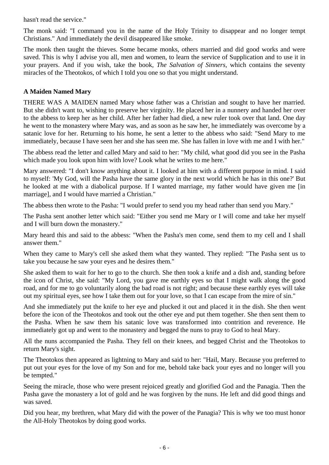hasn't read the service."

The monk said: "I command you in the name of the Holy Trinity to disappear and no longer tempt Christians." And immediately the devil disappeared like smoke.

The monk then taught the thieves. Some became monks, others married and did good works and were saved. This is why I advise you all, men and women, to learn the service of Supplication and to use it in your prayers. And if you wish, take the book, *The Salvation of Sinners,* which contains the seventy miracles of the Theotokos, of which I told you one so that you might understand.

# **A Maiden Named Mary**

THERE WAS A MAIDEN named Mary whose father was a Christian and sought to have her married. But she didn't want to, wishing to preserve her virginity. He placed her in a nunnery and handed her over to the abbess to keep her as her child. After her father had died, a new ruler took over that land. One day he went to the monastery where Mary was, and as soon as he saw her, he immediately was overcome by a satanic love for her. Returning to his home, he sent a letter to the abbess who said: "Send Mary to me immediately, because I have seen her and she has seen me. She has fallen in love with me and I with her."

The abbess read the letter and called Mary and said to her: "My child, what good did you see in the Pasha which made you look upon him with love? Look what he writes to me here."

Mary answered: "I don't know anything about it. I looked at him with a different purpose in mind. I said to myself: 'My God, will the Pasha have the same glory in the next world which he has in this one?' But he looked at me with a diabolical purpose. If I wanted marriage, my father would have given me [in marriage], and I would have married a Christian."

The abbess then wrote to the Pasha: "I would prefer to send you my head rather than send you Mary."

The Pasha sent another letter which said: "Either you send me Mary or I will come and take her myself and I will burn down the monastery."

Mary heard this and said to the abbess: "When the Pasha's men come, send them to my cell and I shall answer them."

When they came to Mary's cell she asked them what they wanted. They replied: "The Pasha sent us to take you because he saw your eyes and he desires them."

She asked them to wait for her to go to the church. She then took a knife and a dish and, standing before the icon of Christ, she said: "My Lord, you gave me earthly eyes so that I might walk along the good road, and for me to go voluntarily along the bad road is not right; and because these earthly eyes will take out my spiritual eyes, see how I take them out for your love, so that I can escape from the mire of sin."

And she immediately put the knife to her eye and plucked it out and placed it in the dish. She then went before the icon of the Theotokos and took out the other eye and put them together. She then sent them to the Pasha. When he saw them his satanic love was transformed into contrition and reverence. He immediately got up and went to the monastery and begged the nuns to pray to God to heal Mary.

All the nuns accompanied the Pasha. They fell on their knees, and begged Christ and the Theotokos to return Mary's sight.

The Theotokos then appeared as lightning to Mary and said to her: "Hail, Mary. Because you preferred to put out your eyes for the love of my Son and for me, behold take back your eyes and no longer will you be tempted."

Seeing the miracle, those who were present rejoiced greatly and glorified God and the Panagia. Then the Pasha gave the monastery a lot of gold and he was forgiven by the nuns. He left and did good things and was saved.

Did you hear, my brethren, what Mary did with the power of the Panagia? This is why we too must honor the All-Holy Theotokos by doing good works.